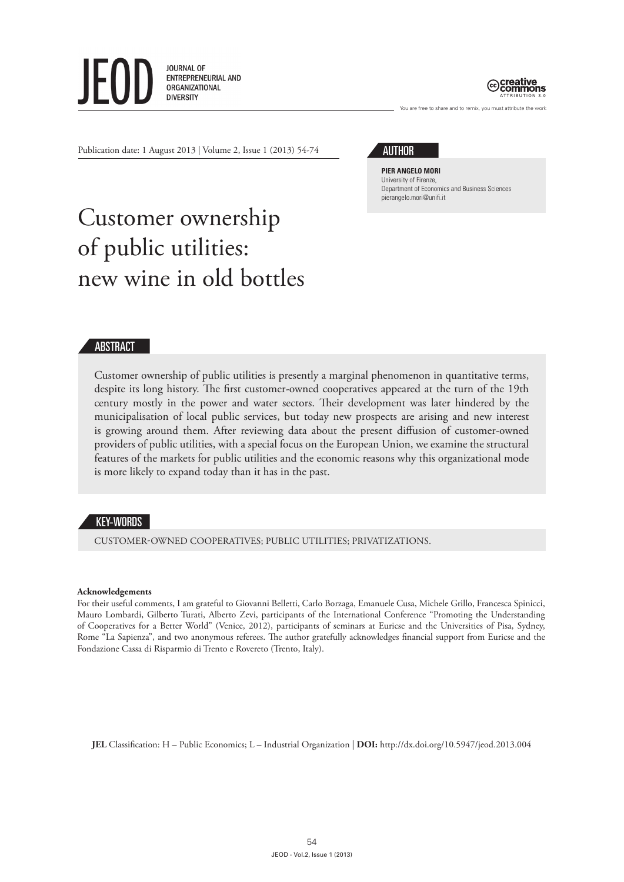



You are free to share and to remix, you must attribute the work

Publication date: 1 August 2013 | Volume 2, Issue 1 (2013) 54-74

**AUTHOR** 

**Pier Angelo Mori** University of Firenze, Department of Economics and Business Sciences pierangelo.mori@unifi.it

# Customer ownership of public utilities: new wine in old bottles

# ABSTRACT

Customer ownership of public utilities is presently a marginal phenomenon in quantitative terms, despite its long history. The first customer-owned cooperatives appeared at the turn of the 19th century mostly in the power and water sectors. Their development was later hindered by the municipalisation of local public services, but today new prospects are arising and new interest is growing around them. After reviewing data about the present diffusion of customer-owned providers of public utilities, with a special focus on the European Union, we examine the structural features of the markets for public utilities and the economic reasons why this organizational mode is more likely to expand today than it has in the past.

## KEY-WORDS

customer-owned cooperatives; public utilities; privatizations.

#### **Acknowledgements**

For their useful comments, I am grateful to Giovanni Belletti, Carlo Borzaga, Emanuele Cusa, Michele Grillo, Francesca Spinicci, Mauro Lombardi, Gilberto Turati, Alberto Zevi, participants of the International Conference "Promoting the Understanding of Cooperatives for a Better World" (Venice, 2012), participants of seminars at Euricse and the Universities of Pisa, Sydney, Rome "La Sapienza", and two anonymous referees. The author gratefully acknowledges financial support from Euricse and the Fondazione Cassa di Risparmio di Trento e Rovereto (Trento, Italy).

**JEL** Classification: H – Public Economics; L – Industrial Organization | **DOI:** http://dx.doi.org/10.5947/jeod.2013.004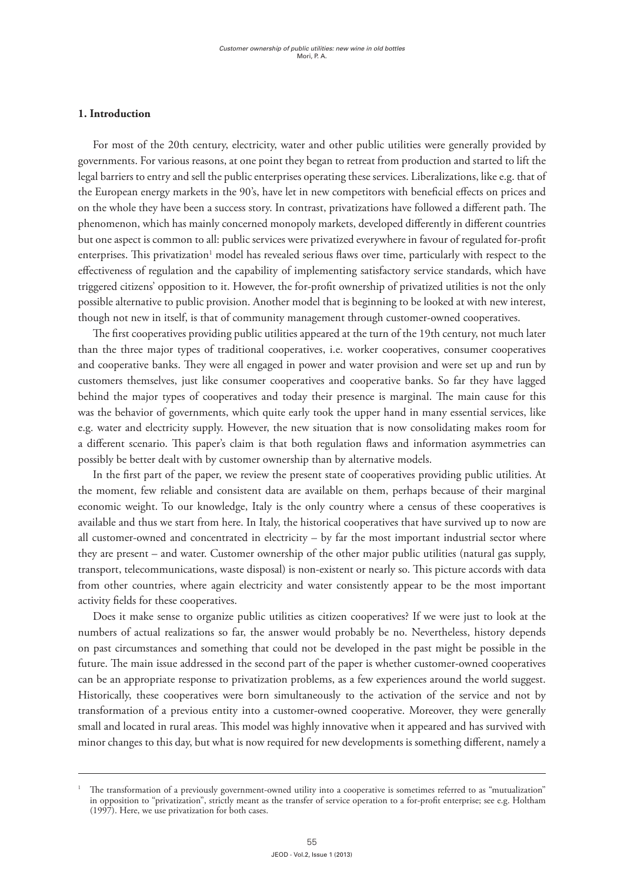# **1. Introduction**

For most of the 20th century, electricity, water and other public utilities were generally provided by governments. For various reasons, at one point they began to retreat from production and started to lift the legal barriers to entry and sell the public enterprises operating these services. Liberalizations, like e.g. that of the European energy markets in the 90's, have let in new competitors with beneficial effects on prices and on the whole they have been a success story. In contrast, privatizations have followed a different path. The phenomenon, which has mainly concerned monopoly markets, developed differently in different countries but one aspect is common to all: public services were privatized everywhere in favour of regulated for-profit enterprises. This privatization $^1$  model has revealed serious flaws over time, particularly with respect to the effectiveness of regulation and the capability of implementing satisfactory service standards, which have triggered citizens' opposition to it. However, the for-profit ownership of privatized utilities is not the only possible alternative to public provision. Another model that is beginning to be looked at with new interest, though not new in itself, is that of community management through customer-owned cooperatives.

The first cooperatives providing public utilities appeared at the turn of the 19th century, not much later than the three major types of traditional cooperatives, i.e. worker cooperatives, consumer cooperatives and cooperative banks. They were all engaged in power and water provision and were set up and run by customers themselves, just like consumer cooperatives and cooperative banks. So far they have lagged behind the major types of cooperatives and today their presence is marginal. The main cause for this was the behavior of governments, which quite early took the upper hand in many essential services, like e.g. water and electricity supply. However, the new situation that is now consolidating makes room for a different scenario. This paper's claim is that both regulation flaws and information asymmetries can possibly be better dealt with by customer ownership than by alternative models.

In the first part of the paper, we review the present state of cooperatives providing public utilities. At the moment, few reliable and consistent data are available on them, perhaps because of their marginal economic weight. To our knowledge, Italy is the only country where a census of these cooperatives is available and thus we start from here. In Italy, the historical cooperatives that have survived up to now are all customer-owned and concentrated in electricity – by far the most important industrial sector where they are present – and water. Customer ownership of the other major public utilities (natural gas supply, transport, telecommunications, waste disposal) is non-existent or nearly so. This picture accords with data from other countries, where again electricity and water consistently appear to be the most important activity fields for these cooperatives.

Does it make sense to organize public utilities as citizen cooperatives? If we were just to look at the numbers of actual realizations so far, the answer would probably be no. Nevertheless, history depends on past circumstances and something that could not be developed in the past might be possible in the future. The main issue addressed in the second part of the paper is whether customer-owned cooperatives can be an appropriate response to privatization problems, as a few experiences around the world suggest. Historically, these cooperatives were born simultaneously to the activation of the service and not by transformation of a previous entity into a customer-owned cooperative. Moreover, they were generally small and located in rural areas. This model was highly innovative when it appeared and has survived with minor changes to this day, but what is now required for new developments is something different, namely a

<sup>1</sup> The transformation of a previously government-owned utility into a cooperative is sometimes referred to as "mutualization" in opposition to "privatization", strictly meant as the transfer of service operation to a for-profit enterprise; see e.g. Holtham (1997). Here, we use privatization for both cases.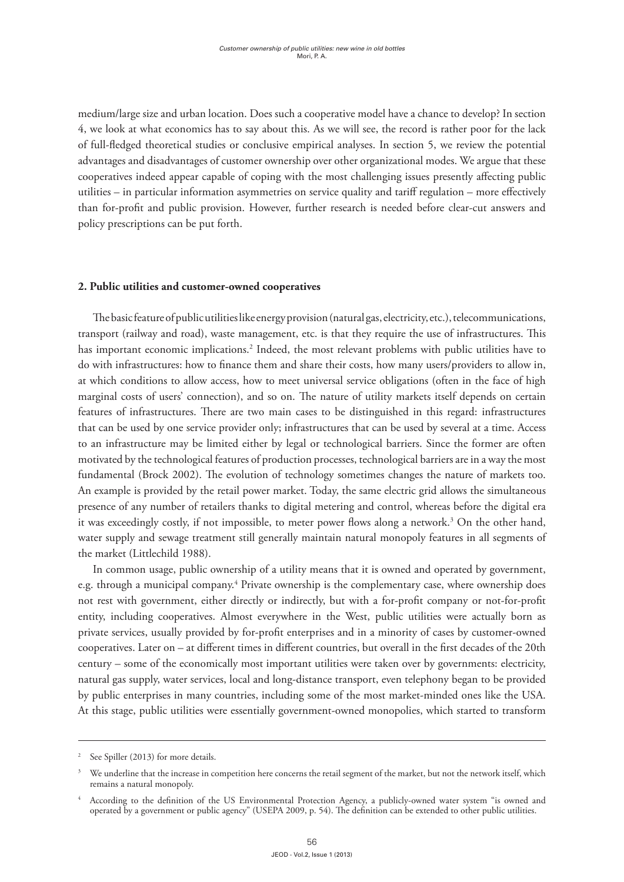medium/large size and urban location. Does such a cooperative model have a chance to develop? In section 4, we look at what economics has to say about this. As we will see, the record is rather poor for the lack of full-fledged theoretical studies or conclusive empirical analyses. In section 5, we review the potential advantages and disadvantages of customer ownership over other organizational modes. We argue that these cooperatives indeed appear capable of coping with the most challenging issues presently affecting public utilities – in particular information asymmetries on service quality and tariff regulation – more effectively than for-profit and public provision. However, further research is needed before clear-cut answers and policy prescriptions can be put forth.

#### **2. Public utilities and customer-owned cooperatives**

The basic feature of public utilities like energy provision (natural gas, electricity, etc.), telecommunications, transport (railway and road), waste management, etc. is that they require the use of infrastructures. This has important economic implications.<sup>2</sup> Indeed, the most relevant problems with public utilities have to do with infrastructures: how to finance them and share their costs, how many users/providers to allow in, at which conditions to allow access, how to meet universal service obligations (often in the face of high marginal costs of users' connection), and so on. The nature of utility markets itself depends on certain features of infrastructures. There are two main cases to be distinguished in this regard: infrastructures that can be used by one service provider only; infrastructures that can be used by several at a time. Access to an infrastructure may be limited either by legal or technological barriers. Since the former are often motivated by the technological features of production processes, technological barriers are in a way the most fundamental (Brock 2002). The evolution of technology sometimes changes the nature of markets too. An example is provided by the retail power market. Today, the same electric grid allows the simultaneous presence of any number of retailers thanks to digital metering and control, whereas before the digital era it was exceedingly costly, if not impossible, to meter power flows along a network.<sup>3</sup> On the other hand, water supply and sewage treatment still generally maintain natural monopoly features in all segments of the market (Littlechild 1988).

In common usage, public ownership of a utility means that it is owned and operated by government, e.g. through a municipal company.<sup>4</sup> Private ownership is the complementary case, where ownership does not rest with government, either directly or indirectly, but with a for-profit company or not-for-profit entity, including cooperatives. Almost everywhere in the West, public utilities were actually born as private services, usually provided by for-profit enterprises and in a minority of cases by customer-owned cooperatives. Later on – at different times in different countries, but overall in the first decades of the 20th century – some of the economically most important utilities were taken over by governments: electricity, natural gas supply, water services, local and long-distance transport, even telephony began to be provided by public enterprises in many countries, including some of the most market-minded ones like the USA. At this stage, public utilities were essentially government-owned monopolies, which started to transform

<sup>&</sup>lt;sup>2</sup> See Spiller (2013) for more details.

We underline that the increase in competition here concerns the retail segment of the market, but not the network itself, which remains a natural monopoly.

<sup>4</sup> According to the definition of the US Environmental Protection Agency, a publicly-owned water system "is owned and operated by a government or public agency" (USEPA 2009, p. 54). The definition can be extended to other public utilities.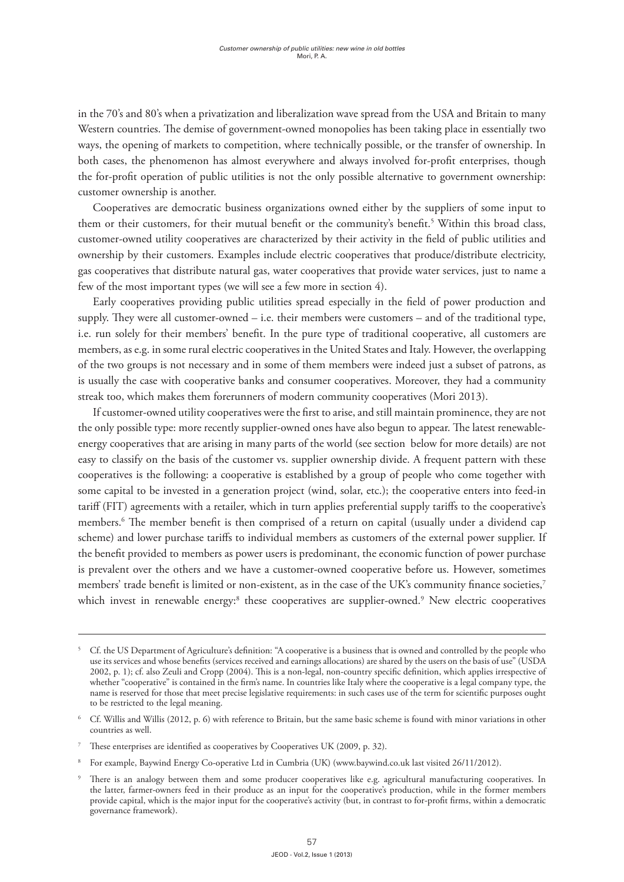in the 70's and 80's when a privatization and liberalization wave spread from the USA and Britain to many Western countries. The demise of government-owned monopolies has been taking place in essentially two ways, the opening of markets to competition, where technically possible, or the transfer of ownership. In both cases, the phenomenon has almost everywhere and always involved for-profit enterprises, though the for-profit operation of public utilities is not the only possible alternative to government ownership: customer ownership is another.

Cooperatives are democratic business organizations owned either by the suppliers of some input to them or their customers, for their mutual benefit or the community's benefit.5 Within this broad class, customer-owned utility cooperatives are characterized by their activity in the field of public utilities and ownership by their customers. Examples include electric cooperatives that produce/distribute electricity, gas cooperatives that distribute natural gas, water cooperatives that provide water services, just to name a few of the most important types (we will see a few more in section 4).

Early cooperatives providing public utilities spread especially in the field of power production and supply. They were all customer-owned – i.e. their members were customers – and of the traditional type, i.e. run solely for their members' benefit. In the pure type of traditional cooperative, all customers are members, as e.g. in some rural electric cooperatives in the United States and Italy. However, the overlapping of the two groups is not necessary and in some of them members were indeed just a subset of patrons, as is usually the case with cooperative banks and consumer cooperatives. Moreover, they had a community streak too, which makes them forerunners of modern community cooperatives (Mori 2013).

If customer-owned utility cooperatives were the first to arise, and still maintain prominence, they are not the only possible type: more recently supplier-owned ones have also begun to appear. The latest renewableenergy cooperatives that are arising in many parts of the world (see section below for more details) are not easy to classify on the basis of the customer vs. supplier ownership divide. A frequent pattern with these cooperatives is the following: a cooperative is established by a group of people who come together with some capital to be invested in a generation project (wind, solar, etc.); the cooperative enters into feed-in tariff (FIT) agreements with a retailer, which in turn applies preferential supply tariffs to the cooperative's members.6 The member benefit is then comprised of a return on capital (usually under a dividend cap scheme) and lower purchase tariffs to individual members as customers of the external power supplier. If the benefit provided to members as power users is predominant, the economic function of power purchase is prevalent over the others and we have a customer-owned cooperative before us. However, sometimes members' trade benefit is limited or non-existent, as in the case of the UK's community finance societies,<sup>7</sup> which invest in renewable energy:<sup>8</sup> these cooperatives are supplier-owned.<sup>9</sup> New electric cooperatives

<sup>5</sup> Cf. the US Department of Agriculture's definition: "A cooperative is a business that is owned and controlled by the people who use its services and whose benefits (services received and earnings allocations) are shared by the users on the basis of use" (USDA 2002, p. 1); cf. also Zeuli and Cropp (2004). This is a non-legal, non-country specific definition, which applies irrespective of whether "cooperative" is contained in the firm's name. In countries like Italy where the cooperative is a legal company type, the name is reserved for those that meet precise legislative requirements: in such cases use of the term for scientific purposes ought to be restricted to the legal meaning.

<sup>&</sup>lt;sup>6</sup> Cf. Willis and Willis (2012, p. 6) with reference to Britain, but the same basic scheme is found with minor variations in other countries as well.

<sup>7</sup> These enterprises are identified as cooperatives by Cooperatives UK (2009, p. 32).

<sup>8</sup> For example, Baywind Energy Co-operative Ltd in Cumbria (UK) (www.baywind.co.uk last visited 26/11/2012).

There is an analogy between them and some producer cooperatives like e.g. agricultural manufacturing cooperatives. In the latter, farmer-owners feed in their produce as an input for the cooperative's production, while in the former members provide capital, which is the major input for the cooperative's activity (but, in contrast to for-profit firms, within a democratic governance framework).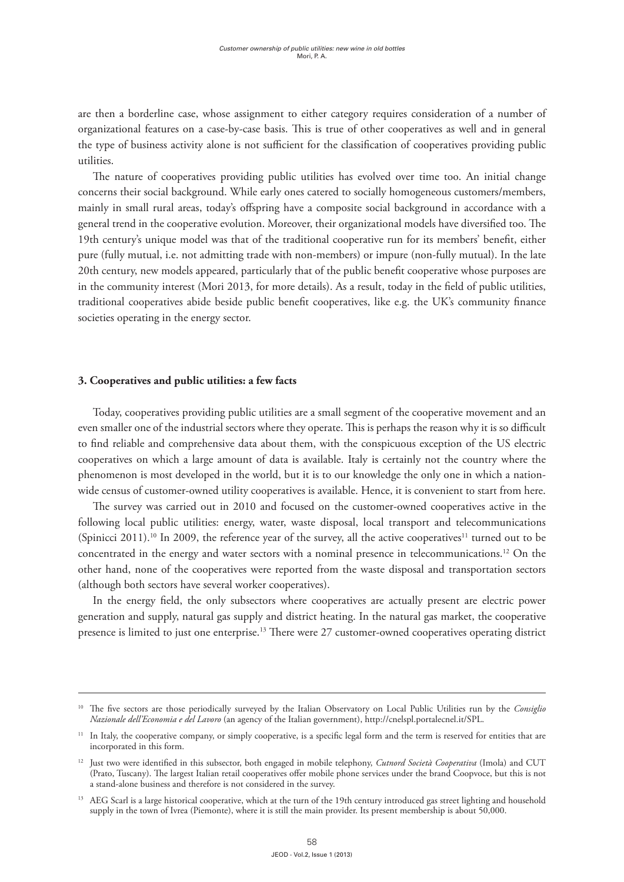are then a borderline case, whose assignment to either category requires consideration of a number of organizational features on a case-by-case basis. This is true of other cooperatives as well and in general the type of business activity alone is not sufficient for the classification of cooperatives providing public utilities.

The nature of cooperatives providing public utilities has evolved over time too. An initial change concerns their social background. While early ones catered to socially homogeneous customers/members, mainly in small rural areas, today's offspring have a composite social background in accordance with a general trend in the cooperative evolution. Moreover, their organizational models have diversified too. The 19th century's unique model was that of the traditional cooperative run for its members' benefit, either pure (fully mutual, i.e. not admitting trade with non-members) or impure (non-fully mutual). In the late 20th century, new models appeared, particularly that of the public benefit cooperative whose purposes are in the community interest (Mori 2013, for more details). As a result, today in the field of public utilities, traditional cooperatives abide beside public benefit cooperatives, like e.g. the UK's community finance societies operating in the energy sector.

#### **3. Cooperatives and public utilities: a few facts**

Today, cooperatives providing public utilities are a small segment of the cooperative movement and an even smaller one of the industrial sectors where they operate. This is perhaps the reason why it is so difficult to find reliable and comprehensive data about them, with the conspicuous exception of the US electric cooperatives on which a large amount of data is available. Italy is certainly not the country where the phenomenon is most developed in the world, but it is to our knowledge the only one in which a nationwide census of customer-owned utility cooperatives is available. Hence, it is convenient to start from here.

The survey was carried out in 2010 and focused on the customer-owned cooperatives active in the following local public utilities: energy, water, waste disposal, local transport and telecommunications (Spinicci 2011).<sup>10</sup> In 2009, the reference year of the survey, all the active cooperatives<sup>11</sup> turned out to be concentrated in the energy and water sectors with a nominal presence in telecommunications.12 On the other hand, none of the cooperatives were reported from the waste disposal and transportation sectors (although both sectors have several worker cooperatives).

In the energy field, the only subsectors where cooperatives are actually present are electric power generation and supply, natural gas supply and district heating. In the natural gas market, the cooperative presence is limited to just one enterprise.13 There were 27 customer-owned cooperatives operating district

<sup>&</sup>lt;sup>10</sup> The five sectors are those periodically surveyed by the Italian Observatory on Local Public Utilities run by the *Consiglio Nazionale dell'Economia e del Lavoro* (an agency of the Italian government), http://cnelspl.portalecnel.it/SPL.

<sup>&</sup>lt;sup>11</sup> In Italy, the cooperative company, or simply cooperative, is a specific legal form and the term is reserved for entities that are incorporated in this form.

<sup>12</sup> Just two were identified in this subsector, both engaged in mobile telephony, *Cutnord Società Cooperativa* (Imola) and CUT (Prato, Tuscany). The largest Italian retail cooperatives offer mobile phone services under the brand Coopvoce, but this is not a stand-alone business and therefore is not considered in the survey.

<sup>&</sup>lt;sup>13</sup> AEG Scarl is a large historical cooperative, which at the turn of the 19th century introduced gas street lighting and household supply in the town of Ivrea (Piemonte), where it is still the main provider. Its present membership is about 50,000.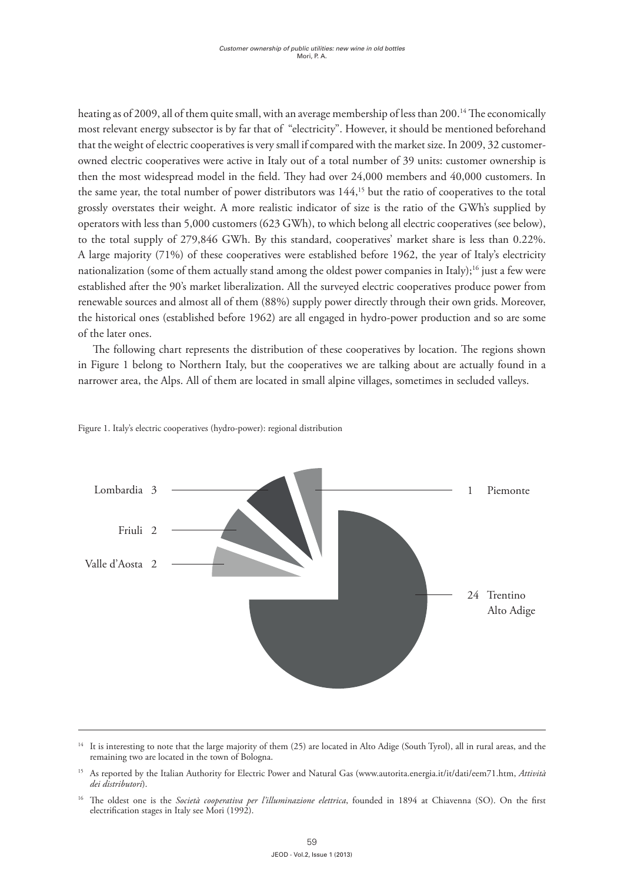heating as of 2009, all of them quite small, with an average membership of less than 200.<sup>14</sup> The economically most relevant energy subsector is by far that of "electricity". However, it should be mentioned beforehand that the weight of electric cooperatives is very small if compared with the market size. In 2009, 32 customerowned electric cooperatives were active in Italy out of a total number of 39 units: customer ownership is then the most widespread model in the field. They had over 24,000 members and 40,000 customers. In the same year, the total number of power distributors was 144,15 but the ratio of cooperatives to the total grossly overstates their weight. A more realistic indicator of size is the ratio of the GWh's supplied by operators with less than 5,000 customers (623 GWh), to which belong all electric cooperatives (see below), to the total supply of 279,846 GWh. By this standard, cooperatives' market share is less than 0.22%. A large majority (71%) of these cooperatives were established before 1962, the year of Italy's electricity nationalization (some of them actually stand among the oldest power companies in Italy);<sup>16</sup> just a few were established after the 90's market liberalization. All the surveyed electric cooperatives produce power from renewable sources and almost all of them (88%) supply power directly through their own grids. Moreover, the historical ones (established before 1962) are all engaged in hydro-power production and so are some of the later ones.

The following chart represents the distribution of these cooperatives by location. The regions shown in Figure 1 belong to Northern Italy, but the cooperatives we are talking about are actually found in a narrower area, the Alps. All of them are located in small alpine villages, sometimes in secluded valleys.



Figure 1. Italy's electric cooperatives (hydro-power): regional distribution

<sup>&</sup>lt;sup>14</sup> It is interesting to note that the large majority of them (25) are located in Alto Adige (South Tyrol), all in rural areas, and the remaining two are located in the town of Bologna.

<sup>15</sup> As reported by the Italian Authority for Electric Power and Natural Gas (www.autorita.energia.it/it/dati/eem71.htm, *Attività dei distributori*).

<sup>16</sup> The oldest one is the *Società cooperativa per l'illuminazione elettrica*, founded in 1894 at Chiavenna (SO). On the first electrification stages in Italy see Mori (1992).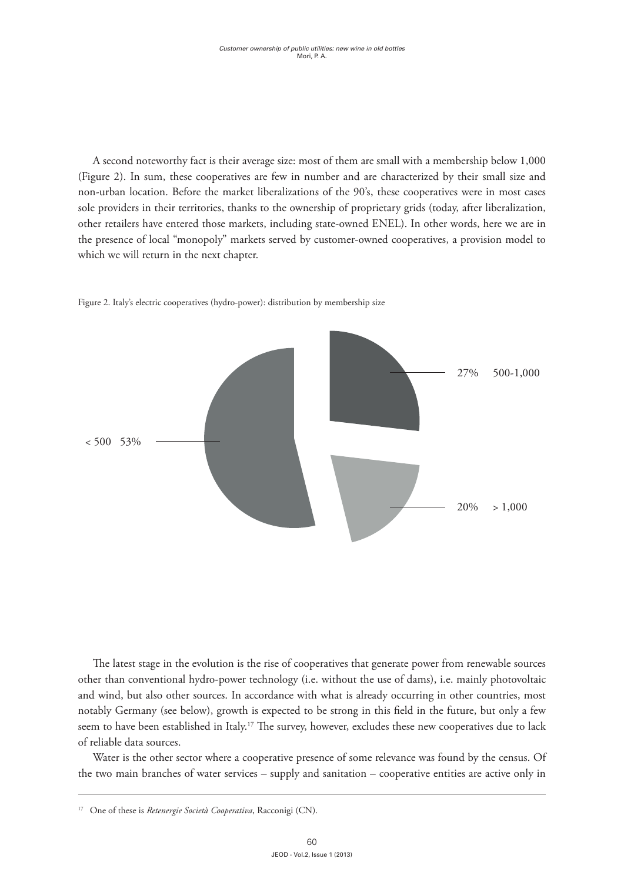A second noteworthy fact is their average size: most of them are small with a membership below 1,000 (Figure 2). In sum, these cooperatives are few in number and are characterized by their small size and non-urban location. Before the market liberalizations of the 90's, these cooperatives were in most cases sole providers in their territories, thanks to the ownership of proprietary grids (today, after liberalization, other retailers have entered those markets, including state-owned ENEL). In other words, here we are in the presence of local "monopoly" markets served by customer-owned cooperatives, a provision model to which we will return in the next chapter.



Figure 2. Italy's electric cooperatives (hydro-power): distribution by membership size

The latest stage in the evolution is the rise of cooperatives that generate power from renewable sources other than conventional hydro-power technology (i.e. without the use of dams), i.e. mainly photovoltaic and wind, but also other sources. In accordance with what is already occurring in other countries, most notably Germany (see below), growth is expected to be strong in this field in the future, but only a few seem to have been established in Italy.<sup>17</sup> The survey, however, excludes these new cooperatives due to lack of reliable data sources.

Water is the other sector where a cooperative presence of some relevance was found by the census. Of the two main branches of water services – supply and sanitation – cooperative entities are active only in

<sup>17</sup> One of these is *Retenergie Società Cooperativa*, Racconigi (CN).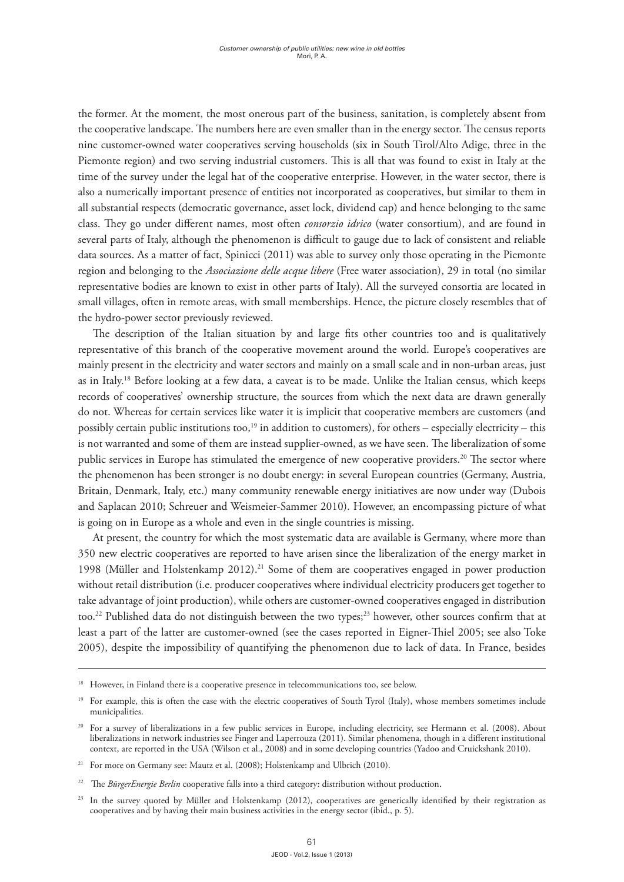the former. At the moment, the most onerous part of the business, sanitation, is completely absent from the cooperative landscape. The numbers here are even smaller than in the energy sector. The census reports nine customer-owned water cooperatives serving households (six in South Tirol/Alto Adige, three in the Piemonte region) and two serving industrial customers. This is all that was found to exist in Italy at the time of the survey under the legal hat of the cooperative enterprise. However, in the water sector, there is also a numerically important presence of entities not incorporated as cooperatives, but similar to them in all substantial respects (democratic governance, asset lock, dividend cap) and hence belonging to the same class. They go under different names, most often *consorzio idrico* (water consortium), and are found in several parts of Italy, although the phenomenon is difficult to gauge due to lack of consistent and reliable data sources. As a matter of fact, Spinicci (2011) was able to survey only those operating in the Piemonte region and belonging to the *Associazione delle acque libere* (Free water association), 29 in total (no similar representative bodies are known to exist in other parts of Italy). All the surveyed consortia are located in small villages, often in remote areas, with small memberships. Hence, the picture closely resembles that of the hydro-power sector previously reviewed.

The description of the Italian situation by and large fits other countries too and is qualitatively representative of this branch of the cooperative movement around the world. Europe's cooperatives are mainly present in the electricity and water sectors and mainly on a small scale and in non-urban areas, just as in Italy.18 Before looking at a few data, a caveat is to be made. Unlike the Italian census, which keeps records of cooperatives' ownership structure, the sources from which the next data are drawn generally do not. Whereas for certain services like water it is implicit that cooperative members are customers (and possibly certain public institutions too,<sup>19</sup> in addition to customers), for others – especially electricity – this is not warranted and some of them are instead supplier-owned, as we have seen. The liberalization of some public services in Europe has stimulated the emergence of new cooperative providers.<sup>20</sup> The sector where the phenomenon has been stronger is no doubt energy: in several European countries (Germany, Austria, Britain, Denmark, Italy, etc.) many community renewable energy initiatives are now under way (Dubois and Saplacan 2010; Schreuer and Weismeier-Sammer 2010). However, an encompassing picture of what is going on in Europe as a whole and even in the single countries is missing.

At present, the country for which the most systematic data are available is Germany, where more than 350 new electric cooperatives are reported to have arisen since the liberalization of the energy market in 1998 (Müller and Holstenkamp  $2012$ ).<sup>21</sup> Some of them are cooperatives engaged in power production without retail distribution (i.e. producer cooperatives where individual electricity producers get together to take advantage of joint production), while others are customer-owned cooperatives engaged in distribution too.<sup>22</sup> Published data do not distinguish between the two types;<sup>23</sup> however, other sources confirm that at least a part of the latter are customer-owned (see the cases reported in Eigner-Thiel 2005; see also Toke 2005), despite the impossibility of quantifying the phenomenon due to lack of data. In France, besides

However, in Finland there is a cooperative presence in telecommunications too, see below.

<sup>&</sup>lt;sup>19</sup> For example, this is often the case with the electric cooperatives of South Tyrol (Italy), whose members sometimes include municipalities.

<sup>&</sup>lt;sup>20</sup> For a survey of liberalizations in a few public services in Europe, including electricity, see Hermann et al. (2008). About liberalizations in network industries see Finger and Laperrouza (2011). Similar phenomena, though in a different institutional context, are reported in the USA (Wilson et al., 2008) and in some developing countries (Yadoo and Cruickshank 2010).

<sup>&</sup>lt;sup>21</sup> For more on Germany see: Mautz et al. (2008); Holstenkamp and Ulbrich (2010).

<sup>&</sup>lt;sup>22</sup> The *BürgerEnergie Berlin* cooperative falls into a third category: distribution without production.

<sup>23</sup> In the survey quoted by Müller and Holstenkamp (2012), cooperatives are generically identified by their registration as cooperatives and by having their main business activities in the energy sector (ibid., p. 5).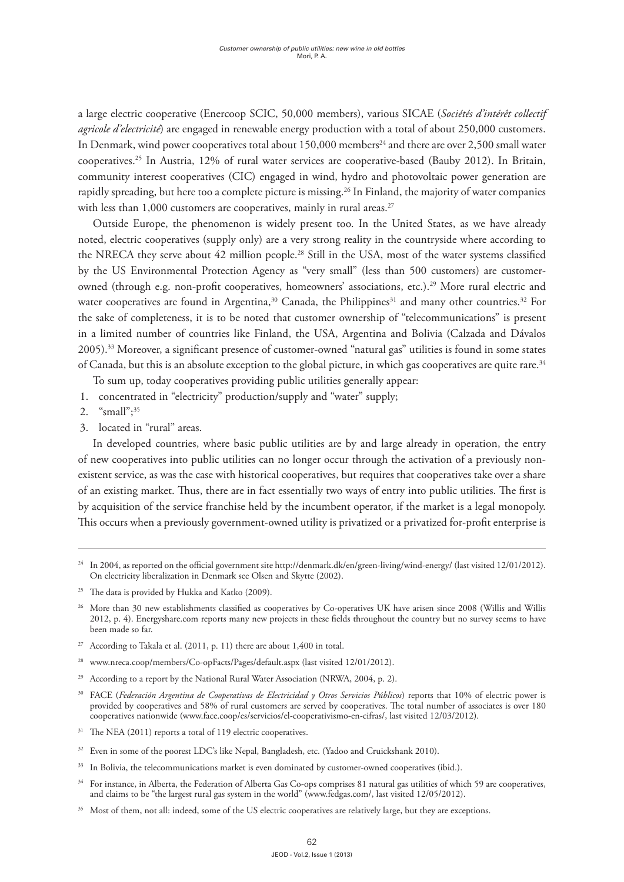a large electric cooperative (Enercoop SCIC, 50,000 members), various SICAE (*Sociétés d'intérêt collectif agricole d'electricité*) are engaged in renewable energy production with a total of about 250,000 customers. In Denmark, wind power cooperatives total about 150,000 members<sup>24</sup> and there are over 2,500 small water cooperatives.25 In Austria, 12% of rural water services are cooperative-based (Bauby 2012). In Britain, community interest cooperatives (CIC) engaged in wind, hydro and photovoltaic power generation are rapidly spreading, but here too a complete picture is missing.26 In Finland, the majority of water companies with less than 1,000 customers are cooperatives, mainly in rural areas.<sup>27</sup>

Outside Europe, the phenomenon is widely present too. In the United States, as we have already noted, electric cooperatives (supply only) are a very strong reality in the countryside where according to the NRECA they serve about 42 million people.28 Still in the USA, most of the water systems classified by the US Environmental Protection Agency as "very small" (less than 500 customers) are customerowned (through e.g. non-profit cooperatives, homeowners' associations, etc.).<sup>29</sup> More rural electric and water cooperatives are found in Argentina,<sup>30</sup> Canada, the Philippines<sup>31</sup> and many other countries.<sup>32</sup> For the sake of completeness, it is to be noted that customer ownership of "telecommunications" is present in a limited number of countries like Finland, the USA, Argentina and Bolivia (Calzada and Dávalos 2005).33 Moreover, a significant presence of customer-owned "natural gas" utilities is found in some states of Canada, but this is an absolute exception to the global picture, in which gas cooperatives are quite rare.34

To sum up, today cooperatives providing public utilities generally appear:

- 1. concentrated in "electricity" production/supply and "water" supply;
- 2. " $\frac{10^{10}}{2}$   $\frac{10^{13}}{2}$
- 3. located in "rural" areas.

In developed countries, where basic public utilities are by and large already in operation, the entry of new cooperatives into public utilities can no longer occur through the activation of a previously nonexistent service, as was the case with historical cooperatives, but requires that cooperatives take over a share of an existing market. Thus, there are in fact essentially two ways of entry into public utilities. The first is by acquisition of the service franchise held by the incumbent operator, if the market is a legal monopoly. This occurs when a previously government-owned utility is privatized or a privatized for-profit enterprise is

- $27$  According to Takala et al. (2011, p. 11) there are about 1,400 in total.
- <sup>28</sup> www.nreca.coop/members/Co-opFacts/Pages/default.aspx (last visited 12/01/2012).
- <sup>29</sup> According to a report by the National Rural Water Association (NRWA, 2004, p. 2).
- <sup>30</sup> FACE (*Federación Argentina de Cooperativas de Electricidad y Otros Servicios Públicos*) reports that 10% of electric power is provided by cooperatives and 58% of rural customers are served by cooperatives. The total number of associates is over 180 cooperatives nationwide (www.face.coop/es/servicios/el-cooperativismo-en-cifras/, last visited 12/03/2012).
- $31$  The NEA (2011) reports a total of 119 electric cooperatives.
- <sup>32</sup> Even in some of the poorest LDC's like Nepal, Bangladesh, etc. (Yadoo and Cruickshank 2010).
- <sup>33</sup> In Bolivia, the telecommunications market is even dominated by customer-owned cooperatives (ibid.).
- <sup>34</sup> For instance, in Alberta, the Federation of Alberta Gas Co-ops comprises 81 natural gas utilities of which 59 are cooperatives, and claims to be "the largest rural gas system in the world" (www.fedgas.com/, last visited 12/05/2012).
- <sup>35</sup> Most of them, not all: indeed, some of the US electric cooperatives are relatively large, but they are exceptions.

<sup>24</sup> In 2004, as reported on the official government site http://denmark.dk/en/green-living/wind-energy/ (last visited 12/01/2012). On electricity liberalization in Denmark see Olsen and Skytte (2002).

<sup>&</sup>lt;sup>25</sup> The data is provided by Hukka and Katko (2009).

<sup>26</sup> More than 30 new establishments classified as cooperatives by Co-operatives UK have arisen since 2008 (Willis and Willis 2012, p. 4). Energyshare.com reports many new projects in these fields throughout the country but no survey seems to have been made so far.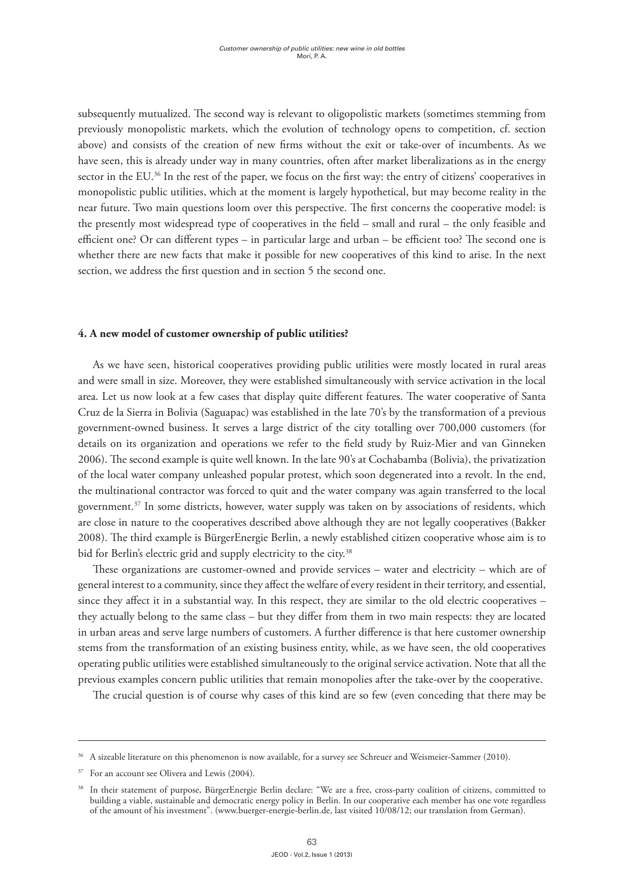subsequently mutualized. The second way is relevant to oligopolistic markets (sometimes stemming from previously monopolistic markets, which the evolution of technology opens to competition, cf. section above) and consists of the creation of new firms without the exit or take-over of incumbents. As we have seen, this is already under way in many countries, often after market liberalizations as in the energy sector in the EU.<sup>36</sup> In the rest of the paper, we focus on the first way: the entry of citizens' cooperatives in monopolistic public utilities, which at the moment is largely hypothetical, but may become reality in the near future. Two main questions loom over this perspective. The first concerns the cooperative model: is the presently most widespread type of cooperatives in the field – small and rural – the only feasible and efficient one? Or can different types – in particular large and urban – be efficient too? The second one is whether there are new facts that make it possible for new cooperatives of this kind to arise. In the next section, we address the first question and in section 5 the second one.

# **4. A new model of customer ownership of public utilities?**

As we have seen, historical cooperatives providing public utilities were mostly located in rural areas and were small in size. Moreover, they were established simultaneously with service activation in the local area. Let us now look at a few cases that display quite different features. The water cooperative of Santa Cruz de la Sierra in Bolivia (Saguapac) was established in the late 70's by the transformation of a previous government-owned business. It serves a large district of the city totalling over 700,000 customers (for details on its organization and operations we refer to the field study by Ruiz-Mier and van Ginneken 2006). The second example is quite well known. In the late 90's at Cochabamba (Bolivia), the privatization of the local water company unleashed popular protest, which soon degenerated into a revolt. In the end, the multinational contractor was forced to quit and the water company was again transferred to the local government.37 In some districts, however, water supply was taken on by associations of residents, which are close in nature to the cooperatives described above although they are not legally cooperatives (Bakker 2008). The third example is BürgerEnergie Berlin, a newly established citizen cooperative whose aim is to bid for Berlin's electric grid and supply electricity to the city.<sup>38</sup>

These organizations are customer-owned and provide services – water and electricity – which are of general interest to a community, since they affect the welfare of every resident in their territory, and essential, since they affect it in a substantial way. In this respect, they are similar to the old electric cooperatives – they actually belong to the same class – but they differ from them in two main respects: they are located in urban areas and serve large numbers of customers. A further difference is that here customer ownership stems from the transformation of an existing business entity, while, as we have seen, the old cooperatives operating public utilities were established simultaneously to the original service activation. Note that all the previous examples concern public utilities that remain monopolies after the take-over by the cooperative.

The crucial question is of course why cases of this kind are so few (even conceding that there may be

<sup>&</sup>lt;sup>36</sup> A sizeable literature on this phenomenon is now available, for a survey see Schreuer and Weismeier-Sammer (2010).

<sup>&</sup>lt;sup>37</sup> For an account see Olivera and Lewis (2004).

<sup>38</sup> In their statement of purpose, BürgerEnergie Berlin declare: "We are a free, cross-party coalition of citizens, committed to building a viable, sustainable and democratic energy policy in Berlin. In our cooperative each member has one vote regardless of the amount of his investment". (www.buerger-energie-berlin.de, last visited 10/08/12; our translation from German).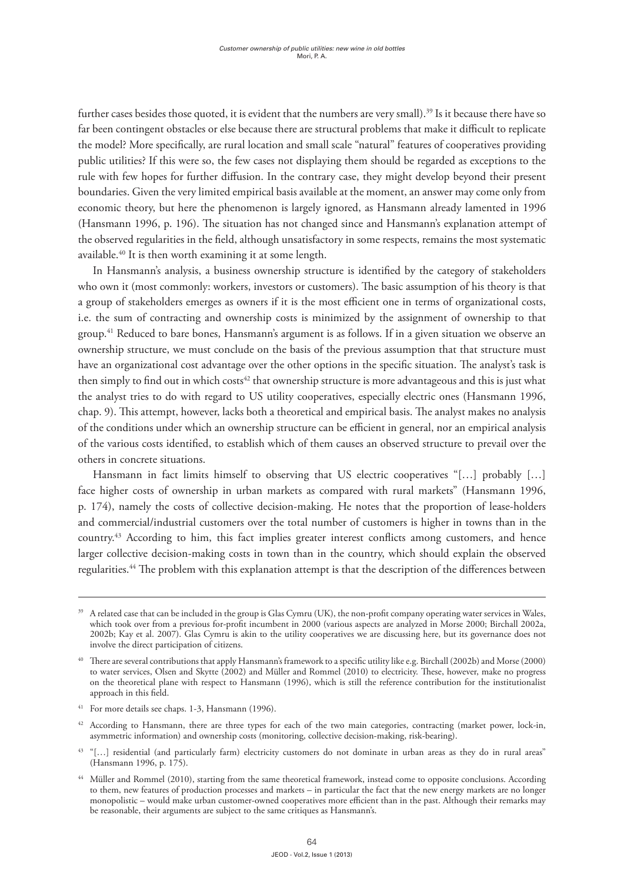further cases besides those quoted, it is evident that the numbers are very small).<sup>39</sup> Is it because there have so far been contingent obstacles or else because there are structural problems that make it difficult to replicate the model? More specifically, are rural location and small scale "natural" features of cooperatives providing public utilities? If this were so, the few cases not displaying them should be regarded as exceptions to the rule with few hopes for further diffusion. In the contrary case, they might develop beyond their present boundaries. Given the very limited empirical basis available at the moment, an answer may come only from economic theory, but here the phenomenon is largely ignored, as Hansmann already lamented in 1996 (Hansmann 1996, p. 196). The situation has not changed since and Hansmann's explanation attempt of the observed regularities in the field, although unsatisfactory in some respects, remains the most systematic available.40 It is then worth examining it at some length.

In Hansmann's analysis, a business ownership structure is identified by the category of stakeholders who own it (most commonly: workers, investors or customers). The basic assumption of his theory is that a group of stakeholders emerges as owners if it is the most efficient one in terms of organizational costs, i.e. the sum of contracting and ownership costs is minimized by the assignment of ownership to that group.41 Reduced to bare bones, Hansmann's argument is as follows. If in a given situation we observe an ownership structure, we must conclude on the basis of the previous assumption that that structure must have an organizational cost advantage over the other options in the specific situation. The analyst's task is then simply to find out in which costs<sup>42</sup> that ownership structure is more advantageous and this is just what the analyst tries to do with regard to US utility cooperatives, especially electric ones (Hansmann 1996, chap. 9). This attempt, however, lacks both a theoretical and empirical basis. The analyst makes no analysis of the conditions under which an ownership structure can be efficient in general, nor an empirical analysis of the various costs identified, to establish which of them causes an observed structure to prevail over the others in concrete situations.

Hansmann in fact limits himself to observing that US electric cooperatives "[…] probably […] face higher costs of ownership in urban markets as compared with rural markets" (Hansmann 1996, p. 174), namely the costs of collective decision-making. He notes that the proportion of lease-holders and commercial/industrial customers over the total number of customers is higher in towns than in the country.43 According to him, this fact implies greater interest conflicts among customers, and hence larger collective decision-making costs in town than in the country, which should explain the observed regularities.44 The problem with this explanation attempt is that the description of the differences between

<sup>&</sup>lt;sup>39</sup> A related case that can be included in the group is Glas Cymru (UK), the non-profit company operating water services in Wales, which took over from a previous for-profit incumbent in 2000 (various aspects are analyzed in Morse 2000; Birchall 2002a, 2002b; Kay et al. 2007). Glas Cymru is akin to the utility cooperatives we are discussing here, but its governance does not involve the direct participation of citizens.

<sup>40</sup> There are several contributions that apply Hansmann's framework to a specific utility like e.g. Birchall (2002b) and Morse (2000) to water services, Olsen and Skytte (2002) and Müller and Rommel (2010) to electricity. These, however, make no progress on the theoretical plane with respect to Hansmann (1996), which is still the reference contribution for the institutionalist approach in this field.

<sup>41</sup> For more details see chaps. 1-3, Hansmann (1996).

<sup>&</sup>lt;sup>42</sup> According to Hansmann, there are three types for each of the two main categories, contracting (market power, lock-in, asymmetric information) and ownership costs (monitoring, collective decision-making, risk-bearing).

<sup>&</sup>lt;sup>43</sup> "[...] residential (and particularly farm) electricity customers do not dominate in urban areas as they do in rural areas" (Hansmann 1996, p. 175).

<sup>44</sup> Müller and Rommel (2010), starting from the same theoretical framework, instead come to opposite conclusions. According to them, new features of production processes and markets – in particular the fact that the new energy markets are no longer monopolistic – would make urban customer-owned cooperatives more efficient than in the past. Although their remarks may be reasonable, their arguments are subject to the same critiques as Hansmann's.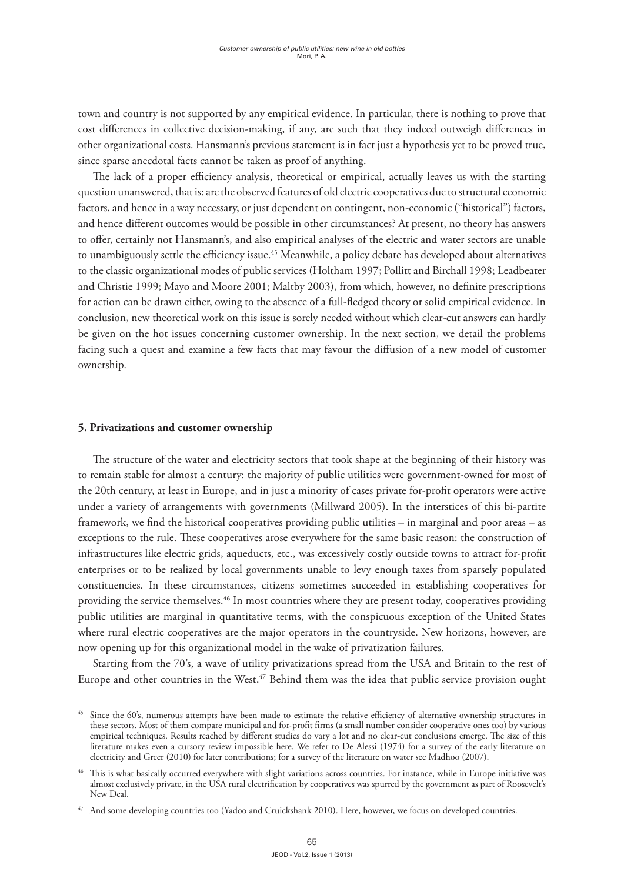town and country is not supported by any empirical evidence. In particular, there is nothing to prove that cost differences in collective decision-making, if any, are such that they indeed outweigh differences in other organizational costs. Hansmann's previous statement is in fact just a hypothesis yet to be proved true, since sparse anecdotal facts cannot be taken as proof of anything.

The lack of a proper efficiency analysis, theoretical or empirical, actually leaves us with the starting question unanswered, that is: are the observed features of old electric cooperatives due to structural economic factors, and hence in a way necessary, or just dependent on contingent, non-economic ("historical") factors, and hence different outcomes would be possible in other circumstances? At present, no theory has answers to offer, certainly not Hansmann's, and also empirical analyses of the electric and water sectors are unable to unambiguously settle the efficiency issue.<sup>45</sup> Meanwhile, a policy debate has developed about alternatives to the classic organizational modes of public services (Holtham 1997; Pollitt and Birchall 1998; Leadbeater and Christie 1999; Mayo and Moore 2001; Maltby 2003), from which, however, no definite prescriptions for action can be drawn either, owing to the absence of a full-fledged theory or solid empirical evidence. In conclusion, new theoretical work on this issue is sorely needed without which clear-cut answers can hardly be given on the hot issues concerning customer ownership. In the next section, we detail the problems facing such a quest and examine a few facts that may favour the diffusion of a new model of customer ownership.

# **5. Privatizations and customer ownership**

The structure of the water and electricity sectors that took shape at the beginning of their history was to remain stable for almost a century: the majority of public utilities were government-owned for most of the 20th century, at least in Europe, and in just a minority of cases private for-profit operators were active under a variety of arrangements with governments (Millward 2005). In the interstices of this bi-partite framework, we find the historical cooperatives providing public utilities – in marginal and poor areas – as exceptions to the rule. These cooperatives arose everywhere for the same basic reason: the construction of infrastructures like electric grids, aqueducts, etc., was excessively costly outside towns to attract for-profit enterprises or to be realized by local governments unable to levy enough taxes from sparsely populated constituencies. In these circumstances, citizens sometimes succeeded in establishing cooperatives for providing the service themselves.<sup>46</sup> In most countries where they are present today, cooperatives providing public utilities are marginal in quantitative terms, with the conspicuous exception of the United States where rural electric cooperatives are the major operators in the countryside. New horizons, however, are now opening up for this organizational model in the wake of privatization failures.

Starting from the 70's, a wave of utility privatizations spread from the USA and Britain to the rest of Europe and other countries in the West.<sup>47</sup> Behind them was the idea that public service provision ought

<sup>&</sup>lt;sup>45</sup> Since the 60's, numerous attempts have been made to estimate the relative efficiency of alternative ownership structures in these sectors. Most of them compare municipal and for-profit firms (a small number consider cooperative ones too) by various empirical techniques. Results reached by different studies do vary a lot and no clear-cut conclusions emerge. The size of this literature makes even a cursory review impossible here. We refer to De Alessi (1974) for a survey of the early literature on electricity and Greer (2010) for later contributions; for a survey of the literature on water see Madhoo (2007).

<sup>&</sup>lt;sup>46</sup> This is what basically occurred everywhere with slight variations across countries. For instance, while in Europe initiative was almost exclusively private, in the USA rural electrification by cooperatives was spurred by the government as part of Roosevelt's New Deal.

<sup>&</sup>lt;sup>47</sup> And some developing countries too (Yadoo and Cruickshank 2010). Here, however, we focus on developed countries.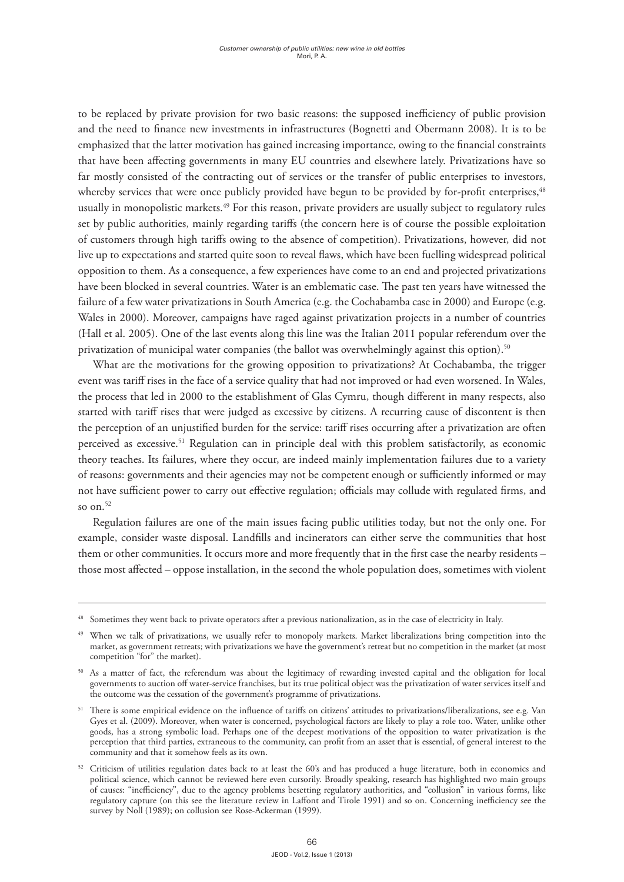to be replaced by private provision for two basic reasons: the supposed inefficiency of public provision and the need to finance new investments in infrastructures (Bognetti and Obermann 2008). It is to be emphasized that the latter motivation has gained increasing importance, owing to the financial constraints that have been affecting governments in many EU countries and elsewhere lately. Privatizations have so far mostly consisted of the contracting out of services or the transfer of public enterprises to investors, whereby services that were once publicly provided have begun to be provided by for-profit enterprises,<sup>48</sup> usually in monopolistic markets.49 For this reason, private providers are usually subject to regulatory rules set by public authorities, mainly regarding tariffs (the concern here is of course the possible exploitation of customers through high tariffs owing to the absence of competition). Privatizations, however, did not live up to expectations and started quite soon to reveal flaws, which have been fuelling widespread political opposition to them. As a consequence, a few experiences have come to an end and projected privatizations have been blocked in several countries. Water is an emblematic case. The past ten years have witnessed the failure of a few water privatizations in South America (e.g. the Cochabamba case in 2000) and Europe (e.g. Wales in 2000). Moreover, campaigns have raged against privatization projects in a number of countries (Hall et al. 2005). One of the last events along this line was the Italian 2011 popular referendum over the privatization of municipal water companies (the ballot was overwhelmingly against this option).<sup>50</sup>

What are the motivations for the growing opposition to privatizations? At Cochabamba, the trigger event was tariff rises in the face of a service quality that had not improved or had even worsened. In Wales, the process that led in 2000 to the establishment of Glas Cymru, though different in many respects, also started with tariff rises that were judged as excessive by citizens. A recurring cause of discontent is then the perception of an unjustified burden for the service: tariff rises occurring after a privatization are often perceived as excessive.51 Regulation can in principle deal with this problem satisfactorily, as economic theory teaches. Its failures, where they occur, are indeed mainly implementation failures due to a variety of reasons: governments and their agencies may not be competent enough or sufficiently informed or may not have sufficient power to carry out effective regulation; officials may collude with regulated firms, and so on. $52$ 

Regulation failures are one of the main issues facing public utilities today, but not the only one. For example, consider waste disposal. Landfills and incinerators can either serve the communities that host them or other communities. It occurs more and more frequently that in the first case the nearby residents – those most affected – oppose installation, in the second the whole population does, sometimes with violent

<sup>&</sup>lt;sup>48</sup> Sometimes they went back to private operators after a previous nationalization, as in the case of electricity in Italy.

<sup>&</sup>lt;sup>49</sup> When we talk of privatizations, we usually refer to monopoly markets. Market liberalizations bring competition into the market, as government retreats; with privatizations we have the government's retreat but no competition in the market (at most competition "for" the market).

<sup>50</sup> As a matter of fact, the referendum was about the legitimacy of rewarding invested capital and the obligation for local governments to auction off water-service franchises, but its true political object was the privatization of water services itself and the outcome was the cessation of the government's programme of privatizations.

<sup>&</sup>lt;sup>51</sup> There is some empirical evidence on the influence of tariffs on citizens' attitudes to privatizations/liberalizations, see e.g. Van Gyes et al. (2009). Moreover, when water is concerned, psychological factors are likely to play a role too. Water, unlike other goods, has a strong symbolic load. Perhaps one of the deepest motivations of the opposition to water privatization is the perception that third parties, extraneous to the community, can profit from an asset that is essential, of general interest to the community and that it somehow feels as its own.

<sup>52</sup> Criticism of utilities regulation dates back to at least the 60's and has produced a huge literature, both in economics and political science, which cannot be reviewed here even cursorily. Broadly speaking, research has highlighted two main groups of causes: "inefficiency", due to the agency problems besetting regulatory authorities, and "collusion" in various forms, like regulatory capture (on this see the literature review in Laffont and Tirole 1991) and so on. Concerning inefficiency see the survey by Noll (1989); on collusion see Rose-Ackerman (1999).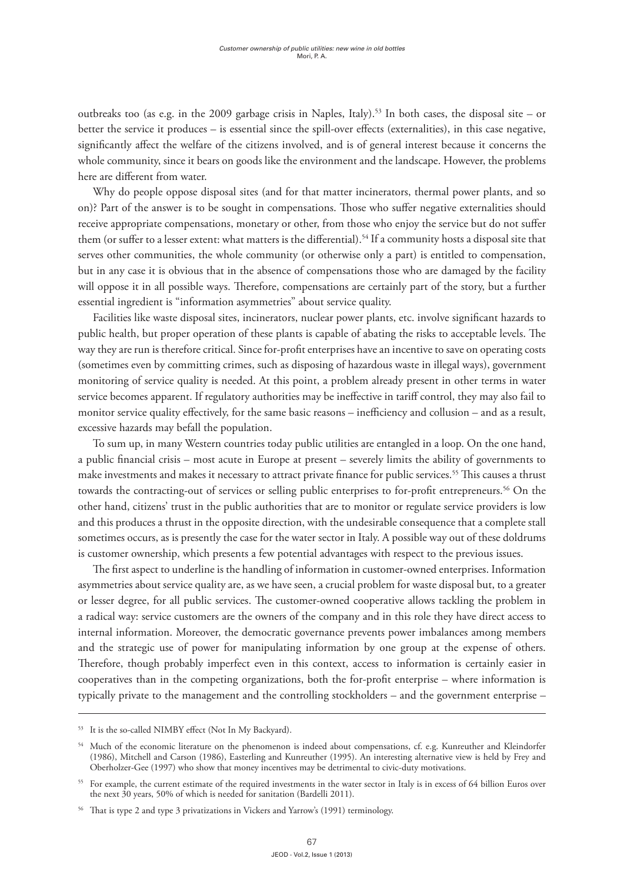outbreaks too (as e.g. in the 2009 garbage crisis in Naples, Italy).<sup>53</sup> In both cases, the disposal site – or better the service it produces – is essential since the spill-over effects (externalities), in this case negative, significantly affect the welfare of the citizens involved, and is of general interest because it concerns the whole community, since it bears on goods like the environment and the landscape. However, the problems here are different from water.

Why do people oppose disposal sites (and for that matter incinerators, thermal power plants, and so on)? Part of the answer is to be sought in compensations. Those who suffer negative externalities should receive appropriate compensations, monetary or other, from those who enjoy the service but do not suffer them (or suffer to a lesser extent: what matters is the differential).<sup>54</sup> If a community hosts a disposal site that serves other communities, the whole community (or otherwise only a part) is entitled to compensation, but in any case it is obvious that in the absence of compensations those who are damaged by the facility will oppose it in all possible ways. Therefore, compensations are certainly part of the story, but a further essential ingredient is "information asymmetries" about service quality.

Facilities like waste disposal sites, incinerators, nuclear power plants, etc. involve significant hazards to public health, but proper operation of these plants is capable of abating the risks to acceptable levels. The way they are run is therefore critical. Since for-profit enterprises have an incentive to save on operating costs (sometimes even by committing crimes, such as disposing of hazardous waste in illegal ways), government monitoring of service quality is needed. At this point, a problem already present in other terms in water service becomes apparent. If regulatory authorities may be ineffective in tariff control, they may also fail to monitor service quality effectively, for the same basic reasons – inefficiency and collusion – and as a result, excessive hazards may befall the population.

To sum up, in many Western countries today public utilities are entangled in a loop. On the one hand, a public financial crisis – most acute in Europe at present – severely limits the ability of governments to make investments and makes it necessary to attract private finance for public services.55 This causes a thrust towards the contracting-out of services or selling public enterprises to for-profit entrepreneurs.<sup>56</sup> On the other hand, citizens' trust in the public authorities that are to monitor or regulate service providers is low and this produces a thrust in the opposite direction, with the undesirable consequence that a complete stall sometimes occurs, as is presently the case for the water sector in Italy. A possible way out of these doldrums is customer ownership, which presents a few potential advantages with respect to the previous issues.

The first aspect to underline is the handling of information in customer-owned enterprises. Information asymmetries about service quality are, as we have seen, a crucial problem for waste disposal but, to a greater or lesser degree, for all public services. The customer-owned cooperative allows tackling the problem in a radical way: service customers are the owners of the company and in this role they have direct access to internal information. Moreover, the democratic governance prevents power imbalances among members and the strategic use of power for manipulating information by one group at the expense of others. Therefore, though probably imperfect even in this context, access to information is certainly easier in cooperatives than in the competing organizations, both the for-profit enterprise – where information is typically private to the management and the controlling stockholders – and the government enterprise –

<sup>53</sup> It is the so-called NIMBY effect (Not In My Backyard).

<sup>&</sup>lt;sup>54</sup> Much of the economic literature on the phenomenon is indeed about compensations, cf. e.g. Kunreuther and Kleindorfer (1986), Mitchell and Carson (1986), Easterling and Kunreuther (1995). An interesting alternative view is held by Frey and Oberholzer-Gee (1997) who show that money incentives may be detrimental to civic-duty motivations.

<sup>&</sup>lt;sup>55</sup> For example, the current estimate of the required investments in the water sector in Italy is in excess of 64 billion Euros over the next 30 years, 50% of which is needed for sanitation (Bardelli 2011).

<sup>56</sup> That is type 2 and type 3 privatizations in Vickers and Yarrow's (1991) terminology.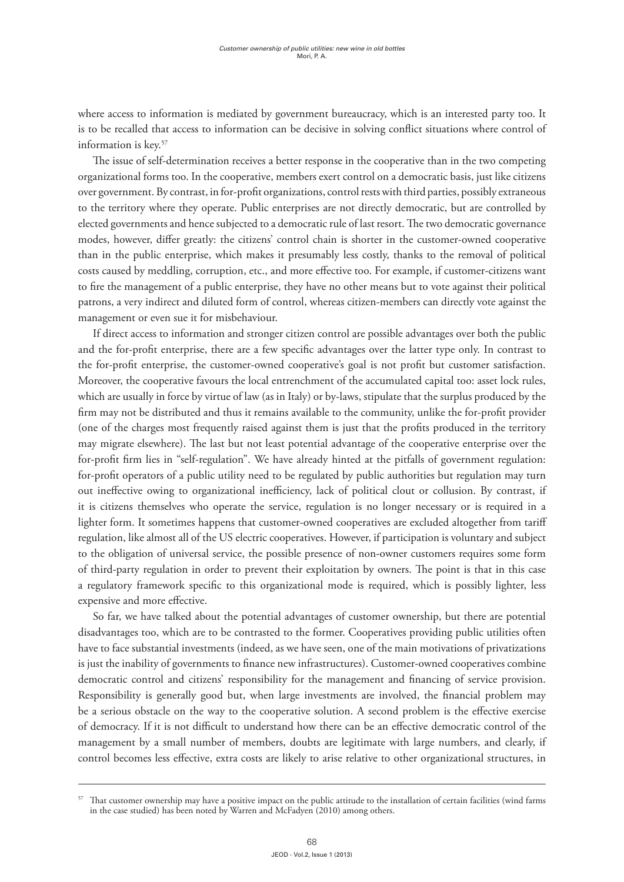where access to information is mediated by government bureaucracy, which is an interested party too. It is to be recalled that access to information can be decisive in solving conflict situations where control of information is key.57

The issue of self-determination receives a better response in the cooperative than in the two competing organizational forms too. In the cooperative, members exert control on a democratic basis, just like citizens over government. By contrast, in for-profit organizations, control rests with third parties, possibly extraneous to the territory where they operate. Public enterprises are not directly democratic, but are controlled by elected governments and hence subjected to a democratic rule of last resort. The two democratic governance modes, however, differ greatly: the citizens' control chain is shorter in the customer-owned cooperative than in the public enterprise, which makes it presumably less costly, thanks to the removal of political costs caused by meddling, corruption, etc., and more effective too. For example, if customer-citizens want to fire the management of a public enterprise, they have no other means but to vote against their political patrons, a very indirect and diluted form of control, whereas citizen-members can directly vote against the management or even sue it for misbehaviour.

If direct access to information and stronger citizen control are possible advantages over both the public and the for-profit enterprise, there are a few specific advantages over the latter type only. In contrast to the for-profit enterprise, the customer-owned cooperative's goal is not profit but customer satisfaction. Moreover, the cooperative favours the local entrenchment of the accumulated capital too: asset lock rules, which are usually in force by virtue of law (as in Italy) or by-laws, stipulate that the surplus produced by the firm may not be distributed and thus it remains available to the community, unlike the for-profit provider (one of the charges most frequently raised against them is just that the profits produced in the territory may migrate elsewhere). The last but not least potential advantage of the cooperative enterprise over the for-profit firm lies in "self-regulation". We have already hinted at the pitfalls of government regulation: for-profit operators of a public utility need to be regulated by public authorities but regulation may turn out ineffective owing to organizational inefficiency, lack of political clout or collusion. By contrast, if it is citizens themselves who operate the service, regulation is no longer necessary or is required in a lighter form. It sometimes happens that customer-owned cooperatives are excluded altogether from tariff regulation, like almost all of the US electric cooperatives. However, if participation is voluntary and subject to the obligation of universal service, the possible presence of non-owner customers requires some form of third-party regulation in order to prevent their exploitation by owners. The point is that in this case a regulatory framework specific to this organizational mode is required, which is possibly lighter, less expensive and more effective.

So far, we have talked about the potential advantages of customer ownership, but there are potential disadvantages too, which are to be contrasted to the former. Cooperatives providing public utilities often have to face substantial investments (indeed, as we have seen, one of the main motivations of privatizations is just the inability of governments to finance new infrastructures). Customer-owned cooperatives combine democratic control and citizens' responsibility for the management and financing of service provision. Responsibility is generally good but, when large investments are involved, the financial problem may be a serious obstacle on the way to the cooperative solution. A second problem is the effective exercise of democracy. If it is not difficult to understand how there can be an effective democratic control of the management by a small number of members, doubts are legitimate with large numbers, and clearly, if control becomes less effective, extra costs are likely to arise relative to other organizational structures, in

That customer ownership may have a positive impact on the public attitude to the installation of certain facilities (wind farms in the case studied) has been noted by Warren and McFadyen (2010) among others.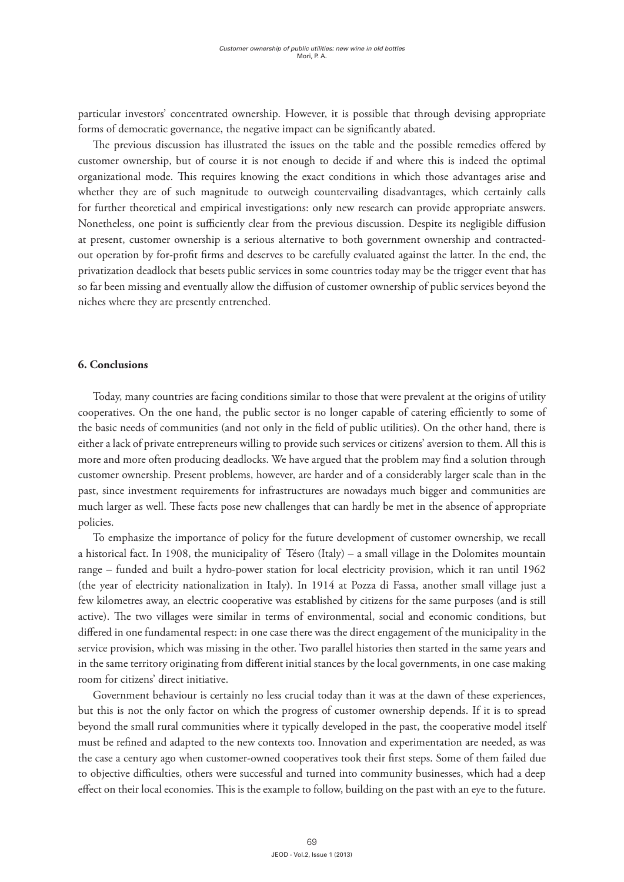particular investors' concentrated ownership. However, it is possible that through devising appropriate forms of democratic governance, the negative impact can be significantly abated.

The previous discussion has illustrated the issues on the table and the possible remedies offered by customer ownership, but of course it is not enough to decide if and where this is indeed the optimal organizational mode. This requires knowing the exact conditions in which those advantages arise and whether they are of such magnitude to outweigh countervailing disadvantages, which certainly calls for further theoretical and empirical investigations: only new research can provide appropriate answers. Nonetheless, one point is sufficiently clear from the previous discussion. Despite its negligible diffusion at present, customer ownership is a serious alternative to both government ownership and contractedout operation by for-profit firms and deserves to be carefully evaluated against the latter. In the end, the privatization deadlock that besets public services in some countries today may be the trigger event that has so far been missing and eventually allow the diffusion of customer ownership of public services beyond the niches where they are presently entrenched.

## **6. Conclusions**

Today, many countries are facing conditions similar to those that were prevalent at the origins of utility cooperatives. On the one hand, the public sector is no longer capable of catering efficiently to some of the basic needs of communities (and not only in the field of public utilities). On the other hand, there is either a lack of private entrepreneurs willing to provide such services or citizens' aversion to them. All this is more and more often producing deadlocks. We have argued that the problem may find a solution through customer ownership. Present problems, however, are harder and of a considerably larger scale than in the past, since investment requirements for infrastructures are nowadays much bigger and communities are much larger as well. These facts pose new challenges that can hardly be met in the absence of appropriate policies.

To emphasize the importance of policy for the future development of customer ownership, we recall a historical fact. In 1908, the municipality of Tésero (Italy) – a small village in the Dolomites mountain range – funded and built a hydro-power station for local electricity provision, which it ran until 1962 (the year of electricity nationalization in Italy). In 1914 at Pozza di Fassa, another small village just a few kilometres away, an electric cooperative was established by citizens for the same purposes (and is still active). The two villages were similar in terms of environmental, social and economic conditions, but differed in one fundamental respect: in one case there was the direct engagement of the municipality in the service provision, which was missing in the other. Two parallel histories then started in the same years and in the same territory originating from different initial stances by the local governments, in one case making room for citizens' direct initiative.

Government behaviour is certainly no less crucial today than it was at the dawn of these experiences, but this is not the only factor on which the progress of customer ownership depends. If it is to spread beyond the small rural communities where it typically developed in the past, the cooperative model itself must be refined and adapted to the new contexts too. Innovation and experimentation are needed, as was the case a century ago when customer-owned cooperatives took their first steps. Some of them failed due to objective difficulties, others were successful and turned into community businesses, which had a deep effect on their local economies. This is the example to follow, building on the past with an eye to the future.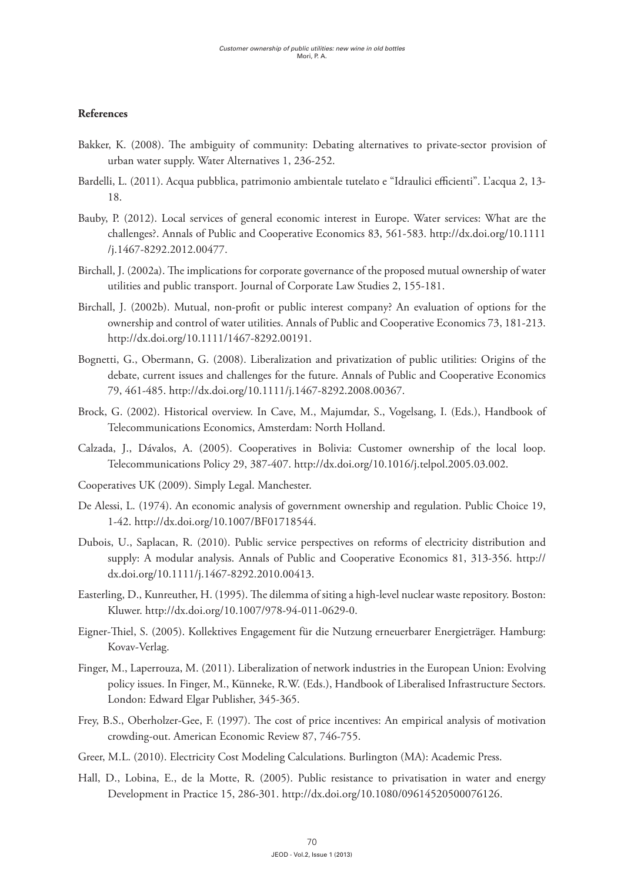# **References**

- Bakker, K. (2008). The ambiguity of community: Debating alternatives to private-sector provision of urban water supply. Water Alternatives 1, 236-252.
- Bardelli, L. (2011). Acqua pubblica, patrimonio ambientale tutelato e "Idraulici efficienti". L'acqua 2, 13- 18.
- Bauby, P. (2012). Local services of general economic interest in Europe. Water services: What are the challenges?. Annals of Public and Cooperative Economics 83, 561-583. http://dx.doi.org/10.1111 /j.1467-8292.2012.00477.
- Birchall, J. (2002a). The implications for corporate governance of the proposed mutual ownership of water utilities and public transport. Journal of Corporate Law Studies 2, 155-181.
- Birchall, J. (2002b). Mutual, non-profit or public interest company? An evaluation of options for the ownership and control of water utilities. Annals of Public and Cooperative Economics 73, 181-213. http://dx.doi.org/10.1111/1467-8292.00191.
- Bognetti, G., Obermann, G. (2008). Liberalization and privatization of public utilities: Origins of the debate, current issues and challenges for the future. Annals of Public and Cooperative Economics 79, 461-485. http://dx.doi.org/10.1111/j.1467-8292.2008.00367.
- Brock, G. (2002). Historical overview. In Cave, M., Majumdar, S., Vogelsang, I. (Eds.), Handbook of Telecommunications Economics, Amsterdam: North Holland.
- Calzada, J., Dávalos, A. (2005). Cooperatives in Bolivia: Customer ownership of the local loop. Telecommunications Policy 29, 387-407. http://dx.doi.org/10.1016/j.telpol.2005.03.002.
- Cooperatives UK (2009). Simply Legal. Manchester.
- De Alessi, L. (1974). An economic analysis of government ownership and regulation. Public Choice 19, 1-42. http://dx.doi.org/10.1007/BF01718544.
- Dubois, U., Saplacan, R. (2010). Public service perspectives on reforms of electricity distribution and supply: A modular analysis. Annals of Public and Cooperative Economics 81, 313-356. http:// dx.doi.org/10.1111/j.1467-8292.2010.00413.
- Easterling, D., Kunreuther, H. (1995). The dilemma of siting a high-level nuclear waste repository. Boston: Kluwer. http://dx.doi.org/10.1007/978-94-011-0629-0.
- Eigner-Thiel, S. (2005). Kollektives Engagement für die Nutzung erneuerbarer Energieträger. Hamburg: Kovav-Verlag.
- Finger, M., Laperrouza, M. (2011). Liberalization of network industries in the European Union: Evolving policy issues. In Finger, M., Künneke, R.W. (Eds.), Handbook of Liberalised Infrastructure Sectors. London: Edward Elgar Publisher, 345-365.
- Frey, B.S., Oberholzer-Gee, F. (1997). The cost of price incentives: An empirical analysis of motivation crowding-out. American Economic Review 87, 746-755.
- Greer, M.L. (2010). Electricity Cost Modeling Calculations. Burlington (MA): Academic Press.
- Hall, D., Lobina, E., de la Motte, R. (2005). Public resistance to privatisation in water and energy Development in Practice 15, 286-301. http://dx.doi.org/10.1080/09614520500076126.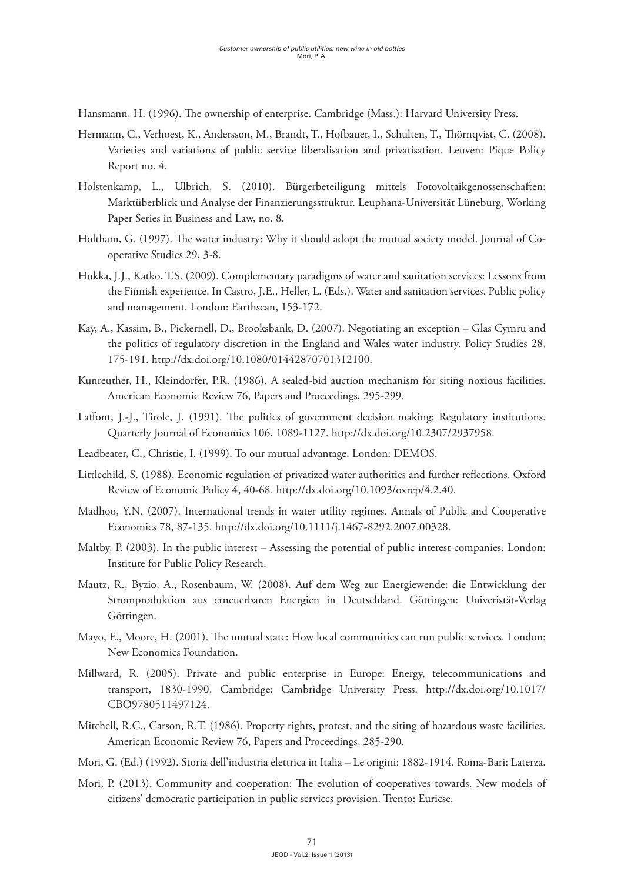Hansmann, H. (1996). The ownership of enterprise. Cambridge (Mass.): Harvard University Press.

- Hermann, C., Verhoest, K., Andersson, M., Brandt, T., Hofbauer, I., Schulten, T., Thörnqvist, C. (2008). Varieties and variations of public service liberalisation and privatisation. Leuven: Pique Policy Report no. 4.
- Holstenkamp, L., Ulbrich, S. (2010). Bürgerbeteiligung mittels Fotovoltaikgenossenschaften: Marktüberblick und Analyse der Finanzierungsstruktur. Leuphana-Universität Lüneburg, Working Paper Series in Business and Law, no. 8.
- Holtham, G. (1997). The water industry: Why it should adopt the mutual society model. Journal of Cooperative Studies 29, 3-8.
- Hukka, J.J., Katko, T.S. (2009). Complementary paradigms of water and sanitation services: Lessons from the Finnish experience. In Castro, J.E., Heller, L. (Eds.). Water and sanitation services. Public policy and management. London: Earthscan, 153-172.
- Kay, A., Kassim, B., Pickernell, D., Brooksbank, D. (2007). Negotiating an exception Glas Cymru and the politics of regulatory discretion in the England and Wales water industry. Policy Studies 28, 175-191. http://dx.doi.org/10.1080/01442870701312100.
- Kunreuther, H., Kleindorfer, P.R. (1986). A sealed-bid auction mechanism for siting noxious facilities. American Economic Review 76, Papers and Proceedings, 295-299.
- Laffont, J.-J., Tirole, J. (1991). The politics of government decision making: Regulatory institutions. Quarterly Journal of Economics 106, 1089-1127. http://dx.doi.org/10.2307/2937958.
- Leadbeater, C., Christie, I. (1999). To our mutual advantage. London: DEMOS.
- Littlechild, S. (1988). Economic regulation of privatized water authorities and further reflections. Oxford Review of Economic Policy 4, 40-68. http://dx.doi.org/10.1093/oxrep/4.2.40.
- Madhoo, Y.N. (2007). International trends in water utility regimes. Annals of Public and Cooperative Economics 78, 87-135. http://dx.doi.org/10.1111/j.1467-8292.2007.00328.
- Maltby, P. (2003). In the public interest Assessing the potential of public interest companies. London: Institute for Public Policy Research.
- Mautz, R., Byzio, A., Rosenbaum, W. (2008). Auf dem Weg zur Energiewende: die Entwicklung der Stromproduktion aus erneuerbaren Energien in Deutschland. Göttingen: Univeristät-Verlag Göttingen.
- Mayo, E., Moore, H. (2001). The mutual state: How local communities can run public services. London: New Economics Foundation.
- Millward, R. (2005). Private and public enterprise in Europe: Energy, telecommunications and transport, 1830-1990. Cambridge: Cambridge University Press. http://dx.doi.org/10.1017/ CBO9780511497124.
- Mitchell, R.C., Carson, R.T. (1986). Property rights, protest, and the siting of hazardous waste facilities. American Economic Review 76, Papers and Proceedings, 285-290.
- Mori, G. (Ed.) (1992). Storia dell'industria elettrica in Italia Le origini: 1882-1914. Roma-Bari: Laterza.
- Mori, P. (2013). Community and cooperation: The evolution of cooperatives towards. New models of citizens' democratic participation in public services provision. Trento: Euricse.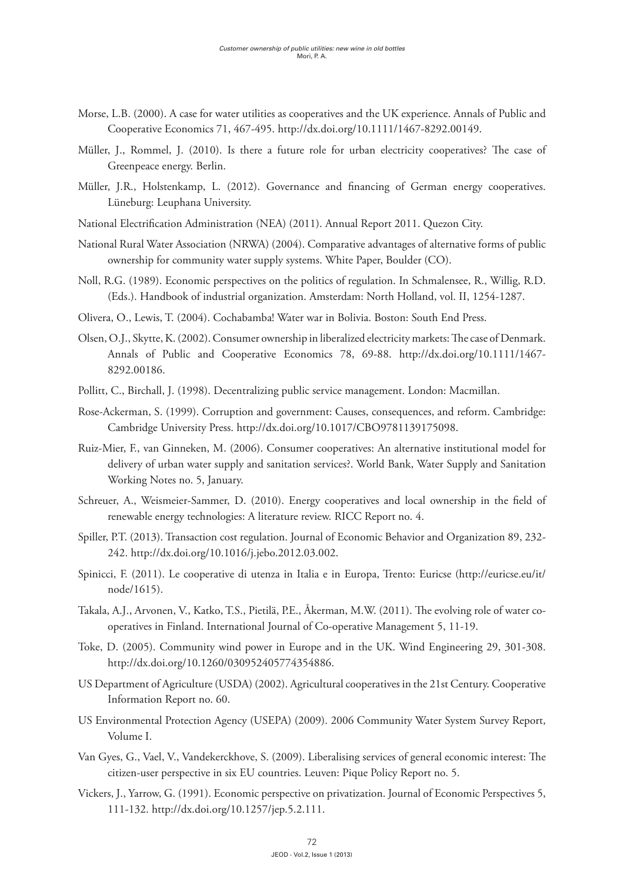- Morse, L.B. (2000). A case for water utilities as cooperatives and the UK experience. Annals of Public and Cooperative Economics 71, 467-495. http://dx.doi.org/10.1111/1467-8292.00149.
- Müller, J., Rommel, J. (2010). Is there a future role for urban electricity cooperatives? The case of Greenpeace energy. Berlin.
- Müller, J.R., Holstenkamp, L. (2012). Governance and financing of German energy cooperatives. Lüneburg: Leuphana University.
- National Electrification Administration (NEA) (2011). Annual Report 2011. Quezon City.
- National Rural Water Association (NRWA) (2004). Comparative advantages of alternative forms of public ownership for community water supply systems. White Paper, Boulder (CO).
- Noll, R.G. (1989). Economic perspectives on the politics of regulation. In Schmalensee, R., Willig, R.D. (Eds.). Handbook of industrial organization. Amsterdam: North Holland, vol. II, 1254-1287.
- Olivera, O., Lewis, T. (2004). Cochabamba! Water war in Bolivia. Boston: South End Press.
- Olsen, O.J., Skytte, K. (2002). Consumer ownership in liberalized electricity markets: The case of Denmark. Annals of Public and Cooperative Economics 78, 69-88. http://dx.doi.org/10.1111/1467- 8292.00186.
- Pollitt, C., Birchall, J. (1998). Decentralizing public service management. London: Macmillan.
- Rose-Ackerman, S. (1999). Corruption and government: Causes, consequences, and reform. Cambridge: Cambridge University Press. http://dx.doi.org/10.1017/CBO9781139175098.
- Ruiz-Mier, F., van Ginneken, M. (2006). Consumer cooperatives: An alternative institutional model for delivery of urban water supply and sanitation services?. World Bank, Water Supply and Sanitation Working Notes no. 5, January.
- Schreuer, A., Weismeier-Sammer, D. (2010). Energy cooperatives and local ownership in the field of renewable energy technologies: A literature review. RICC Report no. 4.
- Spiller, P.T. (2013). Transaction cost regulation. Journal of Economic Behavior and Organization 89, 232- 242. http://dx.doi.org/10.1016/j.jebo.2012.03.002.
- Spinicci, F. (2011). Le cooperative di utenza in Italia e in Europa, Trento: Euricse (http://euricse.eu/it/ node/1615).
- Takala, A.J., Arvonen, V., Katko, T.S., Pietilä, P.E., Åkerman, M.W. (2011). The evolving role of water cooperatives in Finland. International Journal of Co-operative Management 5, 11-19.
- Toke, D. (2005). Community wind power in Europe and in the UK. Wind Engineering 29, 301-308. http://dx.doi.org/10.1260/030952405774354886.
- US Department of Agriculture (USDA) (2002). Agricultural cooperatives in the 21st Century. Cooperative Information Report no. 60.
- US Environmental Protection Agency (USEPA) (2009). 2006 Community Water System Survey Report, Volume I.
- Van Gyes, G., Vael, V., Vandekerckhove, S. (2009). Liberalising services of general economic interest: The citizen-user perspective in six EU countries. Leuven: Pique Policy Report no. 5.
- Vickers, J., Yarrow, G. (1991). Economic perspective on privatization. Journal of Economic Perspectives 5, 111-132. http://dx.doi.org/10.1257/jep.5.2.111.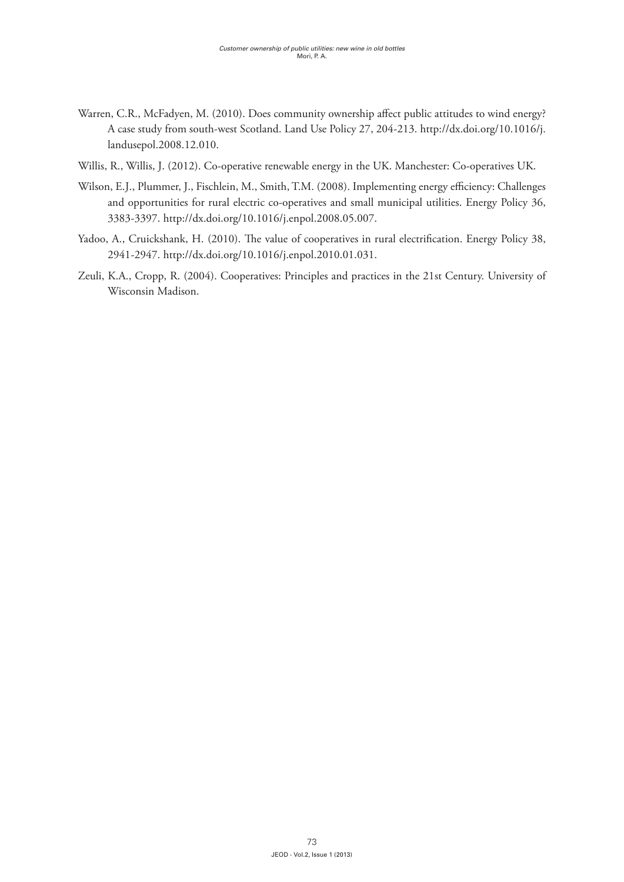- Warren, C.R., McFadyen, M. (2010). Does community ownership affect public attitudes to wind energy? A case study from south-west Scotland. Land Use Policy 27, 204-213. http://dx.doi.org/10.1016/j. landusepol.2008.12.010.
- Willis, R., Willis, J. (2012). Co-operative renewable energy in the UK. Manchester: Co-operatives UK.
- Wilson, E.J., Plummer, J., Fischlein, M., Smith, T.M. (2008). Implementing energy efficiency: Challenges and opportunities for rural electric co-operatives and small municipal utilities. Energy Policy 36, 3383-3397. http://dx.doi.org/10.1016/j.enpol.2008.05.007.
- Yadoo, A., Cruickshank, H. (2010). The value of cooperatives in rural electrification. Energy Policy 38, 2941-2947. http://dx.doi.org/10.1016/j.enpol.2010.01.031.
- Zeuli, K.A., Cropp, R. (2004). Cooperatives: Principles and practices in the 21st Century. University of Wisconsin Madison.